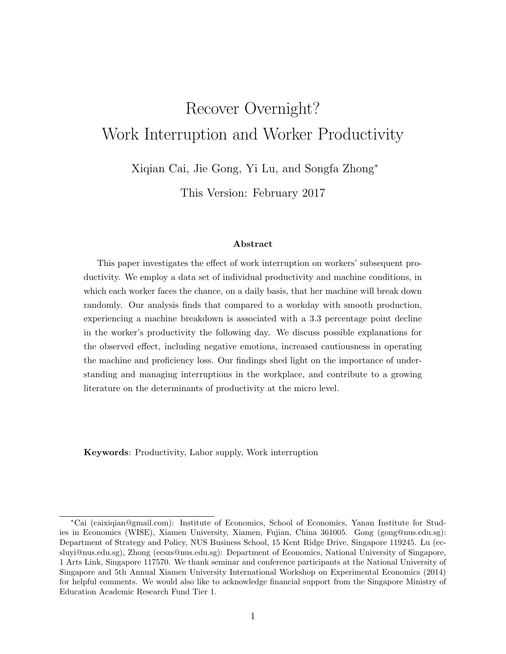# Recover Overnight? Work Interruption and Worker Productivity

Xiqian Cai, Jie Gong, Yi Lu, and Songfa Zhong<sup>∗</sup>

This Version: February 2017

#### Abstract

This paper investigates the effect of work interruption on workers' subsequent productivity. We employ a data set of individual productivity and machine conditions, in which each worker faces the chance, on a daily basis, that her machine will break down randomly. Our analysis finds that compared to a workday with smooth production, experiencing a machine breakdown is associated with a 3.3 percentage point decline in the worker's productivity the following day. We discuss possible explanations for the observed effect, including negative emotions, increased cautiousness in operating the machine and proficiency loss. Our findings shed light on the importance of understanding and managing interruptions in the workplace, and contribute to a growing literature on the determinants of productivity at the micro level.

Keywords: Productivity, Labor supply, Work interruption

<sup>∗</sup>Cai (caixiqian@gmail.com): Institute of Economics, School of Economics, Yanan Institute for Studies in Economics (WISE), Xiamen University, Xiamen, Fujian, China 361005. Gong (gong@nus.edu.sg): Department of Strategy and Policy, NUS Business School, 15 Kent Ridge Drive, Singapore 119245. Lu (ecsluyi@nus.edu.sg), Zhong (ecszs@nus.edu.sg): Department of Economics, National University of Singapore, 1 Arts Link, Singapore 117570. We thank seminar and conference participants at the National University of Singapore and 5th Annual Xiamen University International Workshop on Experimental Economics (2014) for helpful comments. We would also like to acknowledge financial support from the Singapore Ministry of Education Academic Research Fund Tier 1.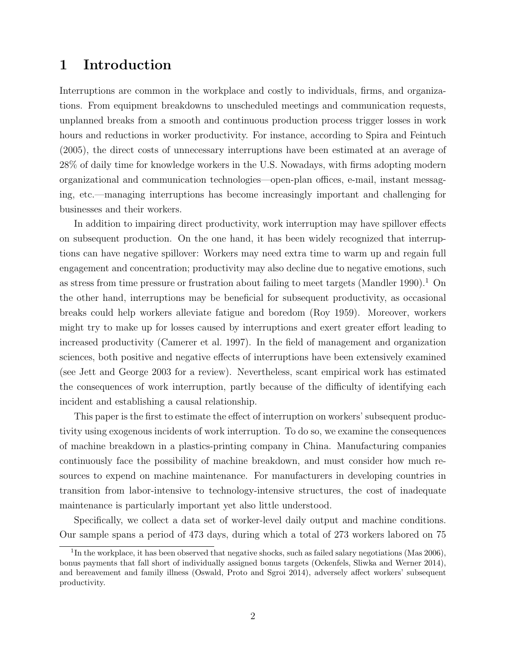# 1 Introduction

Interruptions are common in the workplace and costly to individuals, firms, and organizations. From equipment breakdowns to unscheduled meetings and communication requests, unplanned breaks from a smooth and continuous production process trigger losses in work hours and reductions in worker productivity. For instance, according to Spira and Feintuch (2005), the direct costs of unnecessary interruptions have been estimated at an average of 28% of daily time for knowledge workers in the U.S. Nowadays, with firms adopting modern organizational and communication technologies—open-plan offices, e-mail, instant messaging, etc.—managing interruptions has become increasingly important and challenging for businesses and their workers.

In addition to impairing direct productivity, work interruption may have spillover effects on subsequent production. On the one hand, it has been widely recognized that interruptions can have negative spillover: Workers may need extra time to warm up and regain full engagement and concentration; productivity may also decline due to negative emotions, such as stress from time pressure or frustration about failing to meet targets (Mandler 1990).<sup>1</sup> On the other hand, interruptions may be beneficial for subsequent productivity, as occasional breaks could help workers alleviate fatigue and boredom (Roy 1959). Moreover, workers might try to make up for losses caused by interruptions and exert greater effort leading to increased productivity (Camerer et al. 1997). In the field of management and organization sciences, both positive and negative effects of interruptions have been extensively examined (see Jett and George 2003 for a review). Nevertheless, scant empirical work has estimated the consequences of work interruption, partly because of the difficulty of identifying each incident and establishing a causal relationship.

This paper is the first to estimate the effect of interruption on workers' subsequent productivity using exogenous incidents of work interruption. To do so, we examine the consequences of machine breakdown in a plastics-printing company in China. Manufacturing companies continuously face the possibility of machine breakdown, and must consider how much resources to expend on machine maintenance. For manufacturers in developing countries in transition from labor-intensive to technology-intensive structures, the cost of inadequate maintenance is particularly important yet also little understood.

Specifically, we collect a data set of worker-level daily output and machine conditions. Our sample spans a period of 473 days, during which a total of 273 workers labored on 75

<sup>&</sup>lt;sup>1</sup>In the workplace, it has been observed that negative shocks, such as failed salary negotiations (Mas  $2006$ ), bonus payments that fall short of individually assigned bonus targets (Ockenfels, Sliwka and Werner 2014), and bereavement and family illness (Oswald, Proto and Sgroi 2014), adversely affect workers' subsequent productivity.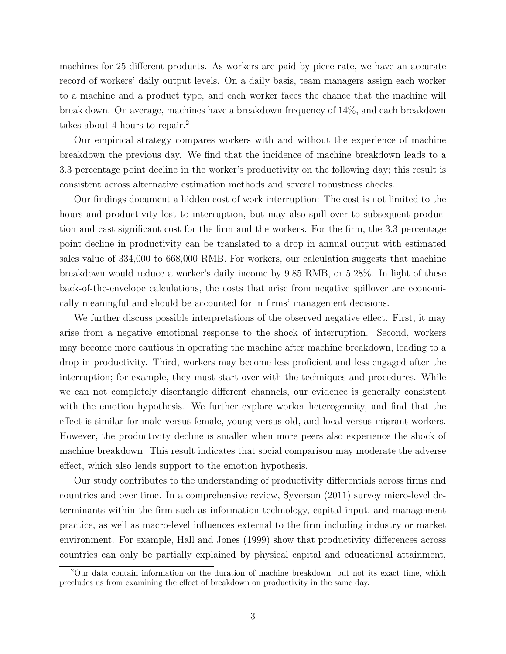machines for 25 different products. As workers are paid by piece rate, we have an accurate record of workers' daily output levels. On a daily basis, team managers assign each worker to a machine and a product type, and each worker faces the chance that the machine will break down. On average, machines have a breakdown frequency of 14%, and each breakdown takes about 4 hours to repair.<sup>2</sup>

Our empirical strategy compares workers with and without the experience of machine breakdown the previous day. We find that the incidence of machine breakdown leads to a 3.3 percentage point decline in the worker's productivity on the following day; this result is consistent across alternative estimation methods and several robustness checks.

Our findings document a hidden cost of work interruption: The cost is not limited to the hours and productivity lost to interruption, but may also spill over to subsequent production and cast significant cost for the firm and the workers. For the firm, the 3.3 percentage point decline in productivity can be translated to a drop in annual output with estimated sales value of 334,000 to 668,000 RMB. For workers, our calculation suggests that machine breakdown would reduce a worker's daily income by 9.85 RMB, or 5.28%. In light of these back-of-the-envelope calculations, the costs that arise from negative spillover are economically meaningful and should be accounted for in firms' management decisions.

We further discuss possible interpretations of the observed negative effect. First, it may arise from a negative emotional response to the shock of interruption. Second, workers may become more cautious in operating the machine after machine breakdown, leading to a drop in productivity. Third, workers may become less proficient and less engaged after the interruption; for example, they must start over with the techniques and procedures. While we can not completely disentangle different channels, our evidence is generally consistent with the emotion hypothesis. We further explore worker heterogeneity, and find that the effect is similar for male versus female, young versus old, and local versus migrant workers. However, the productivity decline is smaller when more peers also experience the shock of machine breakdown. This result indicates that social comparison may moderate the adverse effect, which also lends support to the emotion hypothesis.

Our study contributes to the understanding of productivity differentials across firms and countries and over time. In a comprehensive review, Syverson (2011) survey micro-level determinants within the firm such as information technology, capital input, and management practice, as well as macro-level influences external to the firm including industry or market environment. For example, Hall and Jones (1999) show that productivity differences across countries can only be partially explained by physical capital and educational attainment,

<sup>2</sup>Our data contain information on the duration of machine breakdown, but not its exact time, which precludes us from examining the effect of breakdown on productivity in the same day.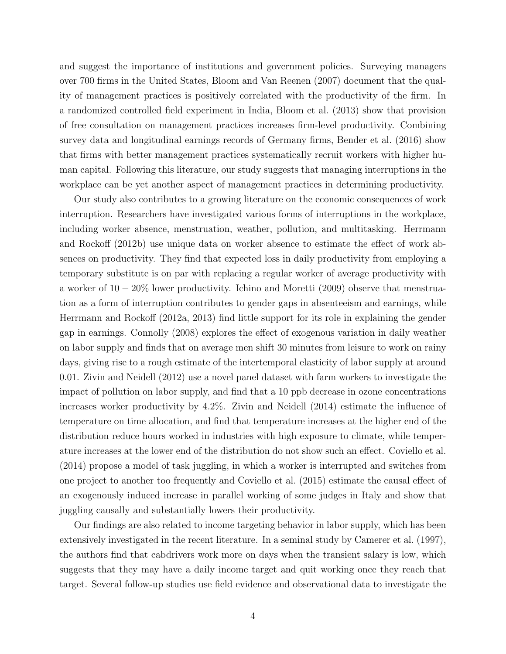and suggest the importance of institutions and government policies. Surveying managers over 700 firms in the United States, Bloom and Van Reenen (2007) document that the quality of management practices is positively correlated with the productivity of the firm. In a randomized controlled field experiment in India, Bloom et al. (2013) show that provision of free consultation on management practices increases firm-level productivity. Combining survey data and longitudinal earnings records of Germany firms, Bender et al. (2016) show that firms with better management practices systematically recruit workers with higher human capital. Following this literature, our study suggests that managing interruptions in the workplace can be yet another aspect of management practices in determining productivity.

Our study also contributes to a growing literature on the economic consequences of work interruption. Researchers have investigated various forms of interruptions in the workplace, including worker absence, menstruation, weather, pollution, and multitasking. Herrmann and Rockoff (2012b) use unique data on worker absence to estimate the effect of work absences on productivity. They find that expected loss in daily productivity from employing a temporary substitute is on par with replacing a regular worker of average productivity with a worker of 10 − 20% lower productivity. Ichino and Moretti (2009) observe that menstruation as a form of interruption contributes to gender gaps in absenteeism and earnings, while Herrmann and Rockoff (2012a, 2013) find little support for its role in explaining the gender gap in earnings. Connolly (2008) explores the effect of exogenous variation in daily weather on labor supply and finds that on average men shift 30 minutes from leisure to work on rainy days, giving rise to a rough estimate of the intertemporal elasticity of labor supply at around 0.01. Zivin and Neidell (2012) use a novel panel dataset with farm workers to investigate the impact of pollution on labor supply, and find that a 10 ppb decrease in ozone concentrations increases worker productivity by 4.2%. Zivin and Neidell (2014) estimate the influence of temperature on time allocation, and find that temperature increases at the higher end of the distribution reduce hours worked in industries with high exposure to climate, while temperature increases at the lower end of the distribution do not show such an effect. Coviello et al. (2014) propose a model of task juggling, in which a worker is interrupted and switches from one project to another too frequently and Coviello et al. (2015) estimate the causal effect of an exogenously induced increase in parallel working of some judges in Italy and show that juggling causally and substantially lowers their productivity.

Our findings are also related to income targeting behavior in labor supply, which has been extensively investigated in the recent literature. In a seminal study by Camerer et al. (1997), the authors find that cabdrivers work more on days when the transient salary is low, which suggests that they may have a daily income target and quit working once they reach that target. Several follow-up studies use field evidence and observational data to investigate the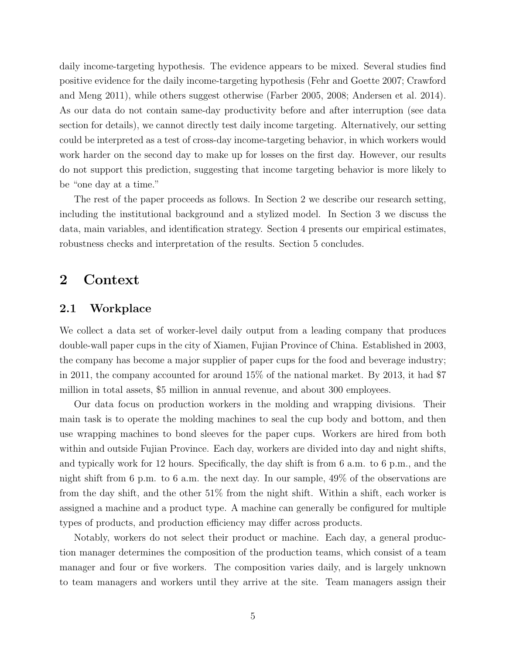daily income-targeting hypothesis. The evidence appears to be mixed. Several studies find positive evidence for the daily income-targeting hypothesis (Fehr and Goette 2007; Crawford and Meng 2011), while others suggest otherwise (Farber 2005, 2008; Andersen et al. 2014). As our data do not contain same-day productivity before and after interruption (see data section for details), we cannot directly test daily income targeting. Alternatively, our setting could be interpreted as a test of cross-day income-targeting behavior, in which workers would work harder on the second day to make up for losses on the first day. However, our results do not support this prediction, suggesting that income targeting behavior is more likely to be "one day at a time."

The rest of the paper proceeds as follows. In Section 2 we describe our research setting, including the institutional background and a stylized model. In Section 3 we discuss the data, main variables, and identification strategy. Section 4 presents our empirical estimates, robustness checks and interpretation of the results. Section 5 concludes.

## 2 Context

## 2.1 Workplace

We collect a data set of worker-level daily output from a leading company that produces double-wall paper cups in the city of Xiamen, Fujian Province of China. Established in 2003, the company has become a major supplier of paper cups for the food and beverage industry; in 2011, the company accounted for around 15% of the national market. By 2013, it had \$7 million in total assets, \$5 million in annual revenue, and about 300 employees.

Our data focus on production workers in the molding and wrapping divisions. Their main task is to operate the molding machines to seal the cup body and bottom, and then use wrapping machines to bond sleeves for the paper cups. Workers are hired from both within and outside Fujian Province. Each day, workers are divided into day and night shifts, and typically work for 12 hours. Specifically, the day shift is from 6 a.m. to 6 p.m., and the night shift from 6 p.m. to 6 a.m. the next day. In our sample, 49% of the observations are from the day shift, and the other 51% from the night shift. Within a shift, each worker is assigned a machine and a product type. A machine can generally be configured for multiple types of products, and production efficiency may differ across products.

Notably, workers do not select their product or machine. Each day, a general production manager determines the composition of the production teams, which consist of a team manager and four or five workers. The composition varies daily, and is largely unknown to team managers and workers until they arrive at the site. Team managers assign their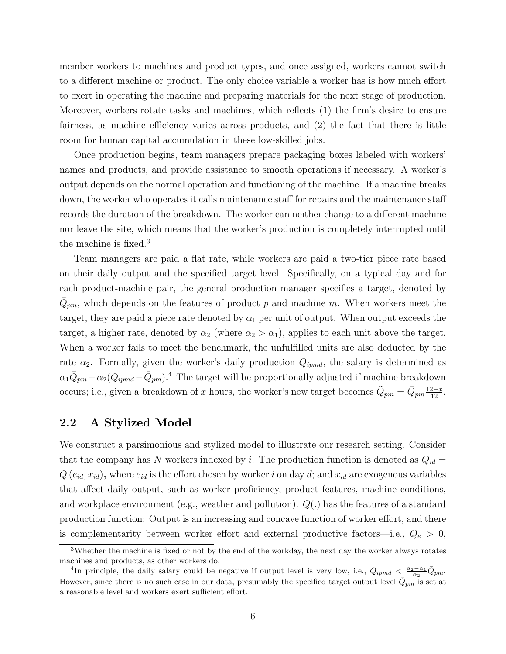member workers to machines and product types, and once assigned, workers cannot switch to a different machine or product. The only choice variable a worker has is how much effort to exert in operating the machine and preparing materials for the next stage of production. Moreover, workers rotate tasks and machines, which reflects (1) the firm's desire to ensure fairness, as machine efficiency varies across products, and (2) the fact that there is little room for human capital accumulation in these low-skilled jobs.

Once production begins, team managers prepare packaging boxes labeled with workers' names and products, and provide assistance to smooth operations if necessary. A worker's output depends on the normal operation and functioning of the machine. If a machine breaks down, the worker who operates it calls maintenance staff for repairs and the maintenance staff records the duration of the breakdown. The worker can neither change to a different machine nor leave the site, which means that the worker's production is completely interrupted until the machine is fixed.<sup>3</sup>

Team managers are paid a flat rate, while workers are paid a two-tier piece rate based on their daily output and the specified target level. Specifically, on a typical day and for each product-machine pair, the general production manager specifies a target, denoted by  $\bar{Q}_{pm}$ , which depends on the features of product p and machine m. When workers meet the target, they are paid a piece rate denoted by  $\alpha_1$  per unit of output. When output exceeds the target, a higher rate, denoted by  $\alpha_2$  (where  $\alpha_2 > \alpha_1$ ), applies to each unit above the target. When a worker fails to meet the benchmark, the unfulfilled units are also deducted by the rate  $\alpha_2$ . Formally, given the worker's daily production  $Q_{ipmd}$ , the salary is determined as  $\alpha_1 \bar{Q}_{pm} + \alpha_2 (Q_{ipmd} - \bar{Q}_{pm}).^4$  The target will be proportionally adjusted if machine breakdown occurs; i.e., given a breakdown of x hours, the worker's new target becomes  $\tilde{Q}_{pm} = \bar{Q}_{pm} \frac{12-x}{12}$ .

## 2.2 A Stylized Model

We construct a parsimonious and stylized model to illustrate our research setting. Consider that the company has N workers indexed by i. The production function is denoted as  $Q_{id}$  =  $Q(e_{id}, x_{id})$ , where  $e_{id}$  is the effort chosen by worker i on day d; and  $x_{id}$  are exogenous variables that affect daily output, such as worker proficiency, product features, machine conditions, and workplace environment (e.g., weather and pollution). Q(.) has the features of a standard production function: Output is an increasing and concave function of worker effort, and there is complementarity between worker effort and external productive factors—i.e.,  $Q_e > 0$ ,

<sup>3</sup>Whether the machine is fixed or not by the end of the workday, the next day the worker always rotates machines and products, as other workers do.

<sup>&</sup>lt;sup>4</sup>In principle, the daily salary could be negative if output level is very low, i.e.,  $Q_{ipmd} < \frac{\alpha_2 - \alpha_1}{\alpha_2} \bar{Q}_{pm}$ . However, since there is no such case in our data, presumably the specified target output level  $\overline{\dot{Q}}_{pm}$  is set at a reasonable level and workers exert sufficient effort.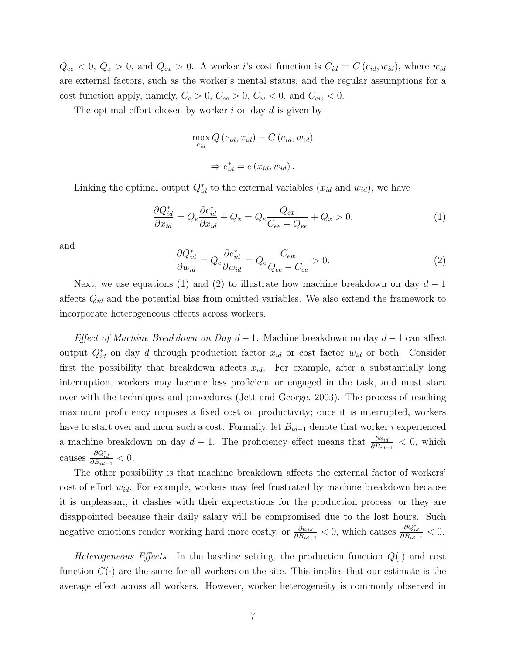$Q_{ee} < 0, Q_x > 0$ , and  $Q_{ex} > 0$ . A worker i's cost function is  $C_{id} = C(e_{id}, w_{id})$ , where  $w_{id}$ are external factors, such as the worker's mental status, and the regular assumptions for a cost function apply, namely,  $C_e > 0$ ,  $C_{ee} > 0$ ,  $C_w < 0$ , and  $C_{ew} < 0$ .

The optimal effort chosen by worker  $i$  on day  $d$  is given by

$$
\max_{e_{id}} Q(e_{id}, x_{id}) - C(e_{id}, w_{id})
$$
  

$$
\Rightarrow e_{id}^* = e(x_{id}, w_{id}).
$$

Linking the optimal output  $Q_{id}^*$  to the external variables  $(x_{id}$  and  $w_{id})$ , we have

$$
\frac{\partial Q_{id}^*}{\partial x_{id}} = Q_e \frac{\partial e_{id}^*}{\partial x_{id}} + Q_x = Q_e \frac{Q_{ex}}{C_{ee} - Q_{ee}} + Q_x > 0,
$$
\n(1)

and

$$
\frac{\partial Q_{id}^*}{\partial w_{id}} = Q_e \frac{\partial e_{id}^*}{\partial w_{id}} = Q_e \frac{C_{ew}}{Q_{ee} - C_{ee}} > 0.
$$
\n(2)

Next, we use equations (1) and (2) to illustrate how machine breakdown on day  $d-1$ affects  $Q_{id}$  and the potential bias from omitted variables. We also extend the framework to incorporate heterogeneous effects across workers.

Effect of Machine Breakdown on Day  $d-1$ . Machine breakdown on day  $d-1$  can affect output  $Q_{id}^*$  on day d through production factor  $x_{id}$  or cost factor  $w_{id}$  or both. Consider first the possibility that breakdown affects  $x_{id}$ . For example, after a substantially long interruption, workers may become less proficient or engaged in the task, and must start over with the techniques and procedures (Jett and George, 2003). The process of reaching maximum proficiency imposes a fixed cost on productivity; once it is interrupted, workers have to start over and incur such a cost. Formally, let  $B_{id-1}$  denote that worker i experienced a machine breakdown on day  $d-1$ . The proficiency effect means that  $\frac{\partial x_{id}}{\partial B_{id-1}} < 0$ , which causes  $\frac{\partial Q_{id}^*}{\partial B_{id-1}} < 0$ .

The other possibility is that machine breakdown affects the external factor of workers' cost of effort  $w_{id}$ . For example, workers may feel frustrated by machine breakdown because it is unpleasant, it clashes with their expectations for the production process, or they are disappointed because their daily salary will be compromised due to the lost hours. Such negative emotions render working hard more costly, or  $\frac{\partial w_{id}}{\partial B_{id-1}} < 0$ , which causes  $\frac{\partial Q^*_{id}}{\partial B_{id-1}} < 0$ .

Heterogeneous Effects. In the baseline setting, the production function  $Q(\cdot)$  and cost function  $C(\cdot)$  are the same for all workers on the site. This implies that our estimate is the average effect across all workers. However, worker heterogeneity is commonly observed in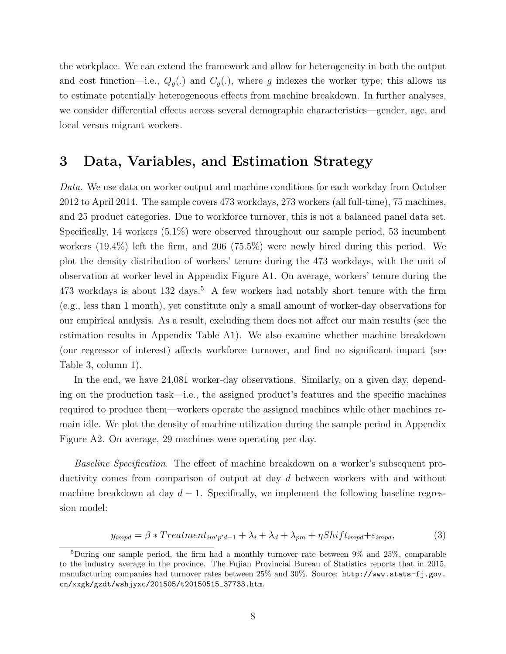the workplace. We can extend the framework and allow for heterogeneity in both the output and cost function—i.e.,  $Q_q(.)$  and  $C_q(.)$ , where g indexes the worker type; this allows us to estimate potentially heterogeneous effects from machine breakdown. In further analyses, we consider differential effects across several demographic characteristics—gender, age, and local versus migrant workers.

# 3 Data, Variables, and Estimation Strategy

Data. We use data on worker output and machine conditions for each workday from October 2012 to April 2014. The sample covers 473 workdays, 273 workers (all full-time), 75 machines, and 25 product categories. Due to workforce turnover, this is not a balanced panel data set. Specifically, 14 workers (5.1%) were observed throughout our sample period, 53 incumbent workers (19.4%) left the firm, and 206 (75.5%) were newly hired during this period. We plot the density distribution of workers' tenure during the 473 workdays, with the unit of observation at worker level in Appendix Figure A1. On average, workers' tenure during the  $473$  workdays is about  $132$  days.<sup>5</sup> A few workers had notably short tenure with the firm (e.g., less than 1 month), yet constitute only a small amount of worker-day observations for our empirical analysis. As a result, excluding them does not affect our main results (see the estimation results in Appendix Table A1). We also examine whether machine breakdown (our regressor of interest) affects workforce turnover, and find no significant impact (see Table 3, column 1).

In the end, we have 24,081 worker-day observations. Similarly, on a given day, depending on the production task—i.e., the assigned product's features and the specific machines required to produce them—workers operate the assigned machines while other machines remain idle. We plot the density of machine utilization during the sample period in Appendix Figure A2. On average, 29 machines were operating per day.

Baseline Specification. The effect of machine breakdown on a worker's subsequent productivity comes from comparison of output at day d between workers with and without machine breakdown at day  $d-1$ . Specifically, we implement the following baseline regression model:

$$
y_{impd} = \beta * Treatment_{im'p'd-1} + \lambda_i + \lambda_d + \lambda_{pm} + \eta Shift_{impd} + \varepsilon_{impd},\tag{3}
$$

<sup>&</sup>lt;sup>5</sup>During our sample period, the firm had a monthly turnover rate between  $9\%$  and  $25\%$ , comparable to the industry average in the province. The Fujian Provincial Bureau of Statistics reports that in 2015, manufacturing companies had turnover rates between 25% and 30%. Source: http://www.stats-fj.gov. cn/xxgk/gzdt/wshjyxc/201505/t20150515\_37733.htm.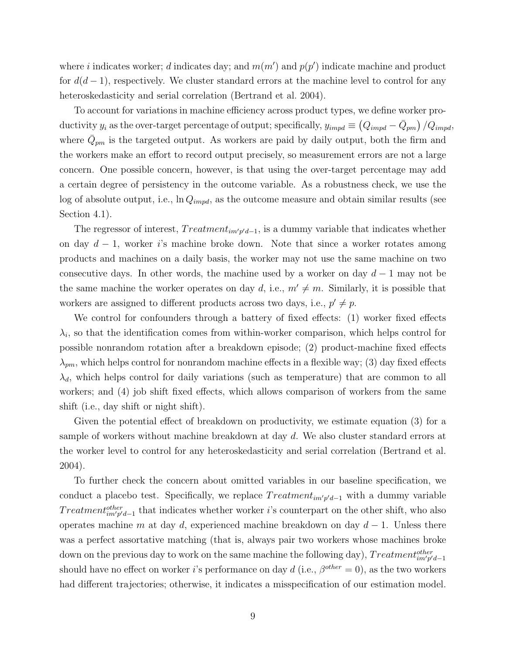where i indicates worker; d indicates day; and  $m(m')$  and  $p(p')$  indicate machine and product for  $d(d-1)$ , respectively. We cluster standard errors at the machine level to control for any heteroskedasticity and serial correlation (Bertrand et al. 2004).

To account for variations in machine efficiency across product types, we define worker productivity  $y_i$  as the over-target percentage of output; specifically,  $y_{impd} \equiv (Q_{impd} - \bar{Q}_{pm})/Q_{impd}$ , where  $\bar{Q}_{pm}$  is the targeted output. As workers are paid by daily output, both the firm and the workers make an effort to record output precisely, so measurement errors are not a large concern. One possible concern, however, is that using the over-target percentage may add a certain degree of persistency in the outcome variable. As a robustness check, we use the log of absolute output, i.e.,  $\ln Q_{impd}$ , as the outcome measure and obtain similar results (see Section 4.1).

The regressor of interest,  $Treatment_{im'p'd-1}$ , is a dummy variable that indicates whether on day  $d-1$ , worker i's machine broke down. Note that since a worker rotates among products and machines on a daily basis, the worker may not use the same machine on two consecutive days. In other words, the machine used by a worker on day  $d-1$  may not be the same machine the worker operates on day d, i.e.,  $m' \neq m$ . Similarly, it is possible that workers are assigned to different products across two days, i.e.,  $p' \neq p$ .

We control for confounders through a battery of fixed effects: (1) worker fixed effects  $\lambda_i$ , so that the identification comes from within-worker comparison, which helps control for possible nonrandom rotation after a breakdown episode; (2) product-machine fixed effects  $\lambda_{pm}$ , which helps control for nonrandom machine effects in a flexible way; (3) day fixed effects  $\lambda_d$ , which helps control for daily variations (such as temperature) that are common to all workers; and (4) job shift fixed effects, which allows comparison of workers from the same shift (i.e., day shift or night shift).

Given the potential effect of breakdown on productivity, we estimate equation (3) for a sample of workers without machine breakdown at day d. We also cluster standard errors at the worker level to control for any heteroskedasticity and serial correlation (Bertrand et al. 2004).

To further check the concern about omitted variables in our baseline specification, we conduct a placebo test. Specifically, we replace  $Treatment_{im'p'd-1}$  with a dummy variable  $Treatment^{other}_{im'p'd-1}$  that indicates whether worker *i*'s counterpart on the other shift, who also operates machine m at day d, experienced machine breakdown on day  $d-1$ . Unless there was a perfect assortative matching (that is, always pair two workers whose machines broke down on the previous day to work on the same machine the following day),  $Treatment_{im'p'd-1}^{other}$ should have no effect on worker *i*'s performance on day  $d$  (i.e.,  $\beta^{other} = 0$ ), as the two workers had different trajectories; otherwise, it indicates a misspecification of our estimation model.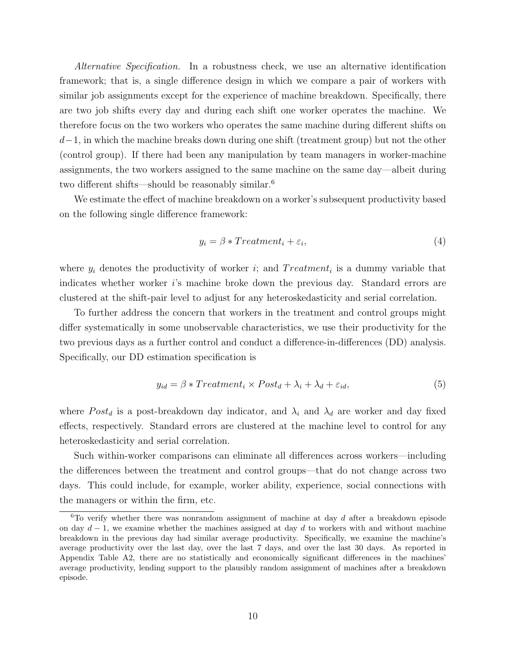Alternative Specification. In a robustness check, we use an alternative identification framework; that is, a single difference design in which we compare a pair of workers with similar job assignments except for the experience of machine breakdown. Specifically, there are two job shifts every day and during each shift one worker operates the machine. We therefore focus on the two workers who operates the same machine during different shifts on  $d-1$ , in which the machine breaks down during one shift (treatment group) but not the other (control group). If there had been any manipulation by team managers in worker-machine assignments, the two workers assigned to the same machine on the same day—albeit during two different shifts—should be reasonably similar.<sup>6</sup>

We estimate the effect of machine breakdown on a worker's subsequent productivity based on the following single difference framework:

$$
y_i = \beta * Treatment_i + \varepsilon_i,\tag{4}
$$

where  $y_i$  denotes the productivity of worker i; and  $Treatment_i$  is a dummy variable that indicates whether worker i's machine broke down the previous day. Standard errors are clustered at the shift-pair level to adjust for any heteroskedasticity and serial correlation.

To further address the concern that workers in the treatment and control groups might differ systematically in some unobservable characteristics, we use their productivity for the two previous days as a further control and conduct a difference-in-differences (DD) analysis. Specifically, our DD estimation specification is

$$
y_{id} = \beta * Treatment_i \times Post_d + \lambda_i + \lambda_d + \varepsilon_{id}, \tag{5}
$$

where  $Post_d$  is a post-breakdown day indicator, and  $\lambda_i$  and  $\lambda_d$  are worker and day fixed effects, respectively. Standard errors are clustered at the machine level to control for any heteroskedasticity and serial correlation.

Such within-worker comparisons can eliminate all differences across workers—including the differences between the treatment and control groups—that do not change across two days. This could include, for example, worker ability, experience, social connections with the managers or within the firm, etc.

 $6T$ o verify whether there was nonrandom assignment of machine at day d after a breakdown episode on day  $d-1$ , we examine whether the machines assigned at day d to workers with and without machine breakdown in the previous day had similar average productivity. Specifically, we examine the machine's average productivity over the last day, over the last 7 days, and over the last 30 days. As reported in Appendix Table A2, there are no statistically and economically significant differences in the machines' average productivity, lending support to the plausibly random assignment of machines after a breakdown episode.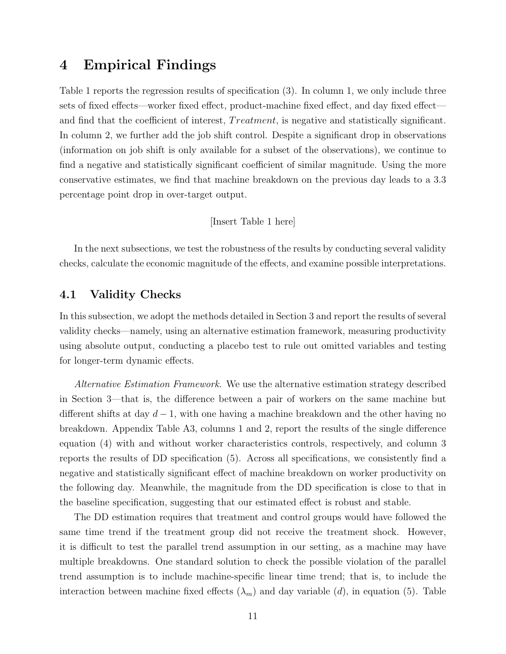# 4 Empirical Findings

Table 1 reports the regression results of specification (3). In column 1, we only include three sets of fixed effects—worker fixed effect, product-machine fixed effect, and day fixed effect and find that the coefficient of interest, Treatment, is negative and statistically significant. In column 2, we further add the job shift control. Despite a significant drop in observations (information on job shift is only available for a subset of the observations), we continue to find a negative and statistically significant coefficient of similar magnitude. Using the more conservative estimates, we find that machine breakdown on the previous day leads to a 3.3 percentage point drop in over-target output.

#### [Insert Table 1 here]

In the next subsections, we test the robustness of the results by conducting several validity checks, calculate the economic magnitude of the effects, and examine possible interpretations.

## 4.1 Validity Checks

In this subsection, we adopt the methods detailed in Section 3 and report the results of several validity checks—namely, using an alternative estimation framework, measuring productivity using absolute output, conducting a placebo test to rule out omitted variables and testing for longer-term dynamic effects.

Alternative Estimation Framework. We use the alternative estimation strategy described in Section 3—that is, the difference between a pair of workers on the same machine but different shifts at day  $d-1$ , with one having a machine breakdown and the other having no breakdown. Appendix Table A3, columns 1 and 2, report the results of the single difference equation (4) with and without worker characteristics controls, respectively, and column 3 reports the results of DD specification (5). Across all specifications, we consistently find a negative and statistically significant effect of machine breakdown on worker productivity on the following day. Meanwhile, the magnitude from the DD specification is close to that in the baseline specification, suggesting that our estimated effect is robust and stable.

The DD estimation requires that treatment and control groups would have followed the same time trend if the treatment group did not receive the treatment shock. However, it is difficult to test the parallel trend assumption in our setting, as a machine may have multiple breakdowns. One standard solution to check the possible violation of the parallel trend assumption is to include machine-specific linear time trend; that is, to include the interaction between machine fixed effects  $(\lambda_m)$  and day variable (d), in equation (5). Table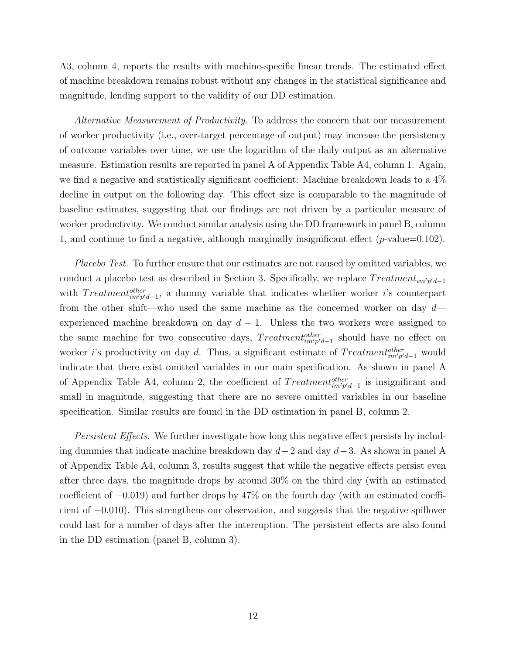A3, column 4, reports the results with machine-specific linear trends. The estimated effect of machine breakdown remains robust without any changes in the statistical significance and magnitude, lending support to the validity of our DD estimation.

Alternative Measurement of Productivity. To address the concern that our measurement of worker productivity (i.e., over-target percentage of output) may increase the persistency of outcome variables over time, we use the logarithm of the daily output as an alternative measure. Estimation results are reported in panel A of Appendix Table A4, column 1. Again, we find a negative and statistically significant coefficient: Machine breakdown leads to a 4% decline in output on the following day. This effect size is comparable to the magnitude of baseline estimates, suggesting that our findings are not driven by a particular measure of worker productivity. We conduct similar analysis using the DD framework in panel B, column 1, and continue to find a negative, although marginally insignificant effect  $(p$ -value=0.102).

Placebo Test. To further ensure that our estimates are not caused by omitted variables, we conduct a placebo test as described in Section 3. Specifically, we replace  $Treatment_{im'p'd-1}$ with  $Treatment_{im'p'd-1}^{other}$ , a dummy variable that indicates whether worker i's counterpart from the other shift—who used the same machine as the concerned worker on day  $d$ experienced machine breakdown on day  $d-1$ . Unless the two workers were assigned to the same machine for two consecutive days,  $Treatment^{other}_{im'p'd-1}$  should have no effect on worker *i*'s productivity on day *d*. Thus, a significant estimate of  $Treatment^{other}_{im'p'd-1}$  would indicate that there exist omitted variables in our main specification. As shown in panel A of Appendix Table A4, column 2, the coefficient of  $Treatment_{im'p'd-1}^{other}$  is insignificant and small in magnitude, suggesting that there are no severe omitted variables in our baseline specification. Similar results are found in the DD estimation in panel B, column 2.

Persistent Effects. We further investigate how long this negative effect persists by including dummies that indicate machine breakdown day  $d-2$  and day  $d-3$ . As shown in panel A of Appendix Table A4, column 3, results suggest that while the negative effects persist even after three days, the magnitude drops by around 30% on the third day (with an estimated coefficient of −0.019) and further drops by 47% on the fourth day (with an estimated coefficient of −0.010). This strengthens our observation, and suggests that the negative spillover could last for a number of days after the interruption. The persistent effects are also found in the DD estimation (panel B, column 3).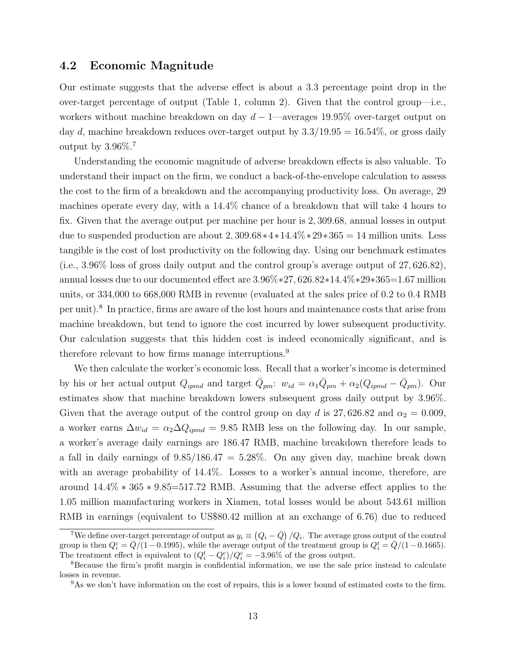### 4.2 Economic Magnitude

Our estimate suggests that the adverse effect is about a 3.3 percentage point drop in the over-target percentage of output (Table 1, column 2). Given that the control group—i.e., workers without machine breakdown on day  $d-1$ —averages 19.95% over-target output on day d, machine breakdown reduces over-target output by  $3.3/19.95 = 16.54\%$ , or gross daily output by  $3.96\%$ .<sup>7</sup>

Understanding the economic magnitude of adverse breakdown effects is also valuable. To understand their impact on the firm, we conduct a back-of-the-envelope calculation to assess the cost to the firm of a breakdown and the accompanying productivity loss. On average, 29 machines operate every day, with a 14.4% chance of a breakdown that will take 4 hours to fix. Given that the average output per machine per hour is 2, 309.68, annual losses in output due to suspended production are about 2, 309.68 $*4*14.4\%*29*365 = 14$  million units. Less tangible is the cost of lost productivity on the following day. Using our benchmark estimates (i.e., 3.96% loss of gross daily output and the control group's average output of 27, 626.82), annual losses due to our documented effect are 3.96%∗27, 626.82∗14.4%∗29∗365=1.67 million units, or 334,000 to 668,000 RMB in revenue (evaluated at the sales price of 0.2 to 0.4 RMB per unit).<sup>8</sup> In practice, firms are aware of the lost hours and maintenance costs that arise from machine breakdown, but tend to ignore the cost incurred by lower subsequent productivity. Our calculation suggests that this hidden cost is indeed economically significant, and is therefore relevant to how firms manage interruptions.<sup>9</sup>

We then calculate the worker's economic loss. Recall that a worker's income is determined by his or her actual output  $Q_{ipmd}$  and target  $\bar{Q}_{pm}$ :  $w_{id} = \alpha_1 \bar{Q}_{pm} + \alpha_2 (Q_{ipmd} - \bar{Q}_{pm})$ . Our estimates show that machine breakdown lowers subsequent gross daily output by 3.96%. Given that the average output of the control group on day d is 27,626.82 and  $\alpha_2 = 0.009$ , a worker earns  $\Delta w_{id} = \alpha_2 \Delta Q_{ipmd} = 9.85$  RMB less on the following day. In our sample, a worker's average daily earnings are 186.47 RMB, machine breakdown therefore leads to a fall in daily earnings of  $9.85/186.47 = 5.28\%$ . On any given day, machine break down with an average probability of 14.4%. Losses to a worker's annual income, therefore, are around 14.4% ∗ 365 ∗ 9.85=517.72 RMB. Assuming that the adverse effect applies to the 1.05 million manufacturing workers in Xiamen, total losses would be about 543.61 million RMB in earnings (equivalent to US\$80.42 million at an exchange of 6.76) due to reduced

<sup>&</sup>lt;sup>7</sup>We define over-target percentage of output as  $y_i \equiv (Q_i - \bar{Q})/Q_i$ . The average gross output of the control group is then  $Q_i^c = \overline{Q}/(1-0.1995)$ , while the average output of the treatment group is  $Q_i^t = \overline{Q}/(1-0.1665)$ . The treatment effect is equivalent to  $(Q_i^t - Q_i^c)/Q_i^c = -3.96\%$  of the gross output.

<sup>8</sup>Because the firm's profit margin is confidential information, we use the sale price instead to calculate losses in revenue.

<sup>&</sup>lt;sup>9</sup>As we don't have information on the cost of repairs, this is a lower bound of estimated costs to the firm.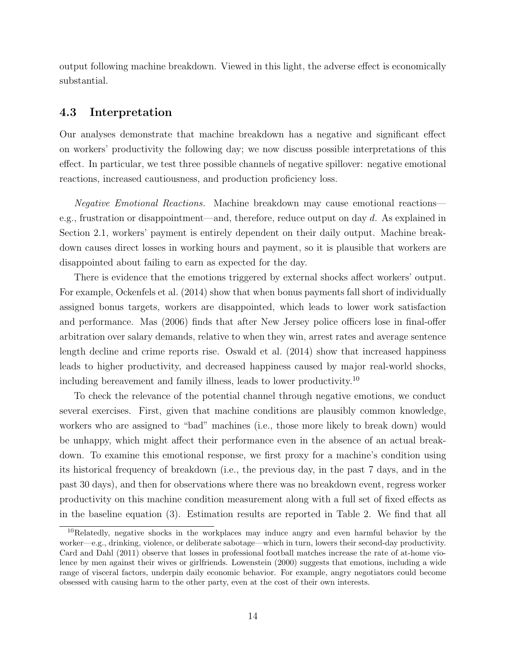output following machine breakdown. Viewed in this light, the adverse effect is economically substantial.

## 4.3 Interpretation

Our analyses demonstrate that machine breakdown has a negative and significant effect on workers' productivity the following day; we now discuss possible interpretations of this effect. In particular, we test three possible channels of negative spillover: negative emotional reactions, increased cautiousness, and production proficiency loss.

Negative Emotional Reactions. Machine breakdown may cause emotional reactions e.g., frustration or disappointment—and, therefore, reduce output on day  $d$ . As explained in Section 2.1, workers' payment is entirely dependent on their daily output. Machine breakdown causes direct losses in working hours and payment, so it is plausible that workers are disappointed about failing to earn as expected for the day.

There is evidence that the emotions triggered by external shocks affect workers' output. For example, Ockenfels et al. (2014) show that when bonus payments fall short of individually assigned bonus targets, workers are disappointed, which leads to lower work satisfaction and performance. Mas (2006) finds that after New Jersey police officers lose in final-offer arbitration over salary demands, relative to when they win, arrest rates and average sentence length decline and crime reports rise. Oswald et al. (2014) show that increased happiness leads to higher productivity, and decreased happiness caused by major real-world shocks, including bereavement and family illness, leads to lower productivity.<sup>10</sup>

To check the relevance of the potential channel through negative emotions, we conduct several exercises. First, given that machine conditions are plausibly common knowledge, workers who are assigned to "bad" machines (i.e., those more likely to break down) would be unhappy, which might affect their performance even in the absence of an actual breakdown. To examine this emotional response, we first proxy for a machine's condition using its historical frequency of breakdown (i.e., the previous day, in the past 7 days, and in the past 30 days), and then for observations where there was no breakdown event, regress worker productivity on this machine condition measurement along with a full set of fixed effects as in the baseline equation (3). Estimation results are reported in Table 2. We find that all

<sup>&</sup>lt;sup>10</sup>Relatedly, negative shocks in the workplaces may induce angry and even harmful behavior by the worker—e.g., drinking, violence, or deliberate sabotage—which in turn, lowers their second-day productivity. Card and Dahl (2011) observe that losses in professional football matches increase the rate of at-home violence by men against their wives or girlfriends. Lowenstein (2000) suggests that emotions, including a wide range of visceral factors, underpin daily economic behavior. For example, angry negotiators could become obsessed with causing harm to the other party, even at the cost of their own interests.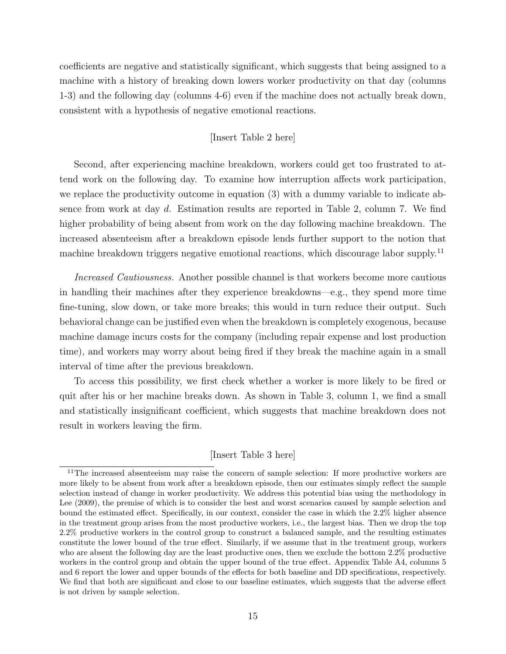coefficients are negative and statistically significant, which suggests that being assigned to a machine with a history of breaking down lowers worker productivity on that day (columns 1-3) and the following day (columns 4-6) even if the machine does not actually break down, consistent with a hypothesis of negative emotional reactions.

#### [Insert Table 2 here]

Second, after experiencing machine breakdown, workers could get too frustrated to attend work on the following day. To examine how interruption affects work participation, we replace the productivity outcome in equation (3) with a dummy variable to indicate absence from work at day d. Estimation results are reported in Table 2, column 7. We find higher probability of being absent from work on the day following machine breakdown. The increased absenteeism after a breakdown episode lends further support to the notion that machine breakdown triggers negative emotional reactions, which discourage labor supply.<sup>11</sup>

Increased Cautiousness. Another possible channel is that workers become more cautious in handling their machines after they experience breakdowns—e.g., they spend more time fine-tuning, slow down, or take more breaks; this would in turn reduce their output. Such behavioral change can be justified even when the breakdown is completely exogenous, because machine damage incurs costs for the company (including repair expense and lost production time), and workers may worry about being fired if they break the machine again in a small interval of time after the previous breakdown.

To access this possibility, we first check whether a worker is more likely to be fired or quit after his or her machine breaks down. As shown in Table 3, column 1, we find a small and statistically insignificant coefficient, which suggests that machine breakdown does not result in workers leaving the firm.

#### [Insert Table 3 here]

<sup>&</sup>lt;sup>11</sup>The increased absenteeism may raise the concern of sample selection: If more productive workers are more likely to be absent from work after a breakdown episode, then our estimates simply reflect the sample selection instead of change in worker productivity. We address this potential bias using the methodology in Lee (2009), the premise of which is to consider the best and worst scenarios caused by sample selection and bound the estimated effect. Specifically, in our context, consider the case in which the 2.2% higher absence in the treatment group arises from the most productive workers, i.e., the largest bias. Then we drop the top 2.2% productive workers in the control group to construct a balanced sample, and the resulting estimates constitute the lower bound of the true effect. Similarly, if we assume that in the treatment group, workers who are absent the following day are the least productive ones, then we exclude the bottom 2.2% productive workers in the control group and obtain the upper bound of the true effect. Appendix Table A4, columns 5 and 6 report the lower and upper bounds of the effects for both baseline and DD specifications, respectively. We find that both are significant and close to our baseline estimates, which suggests that the adverse effect is not driven by sample selection.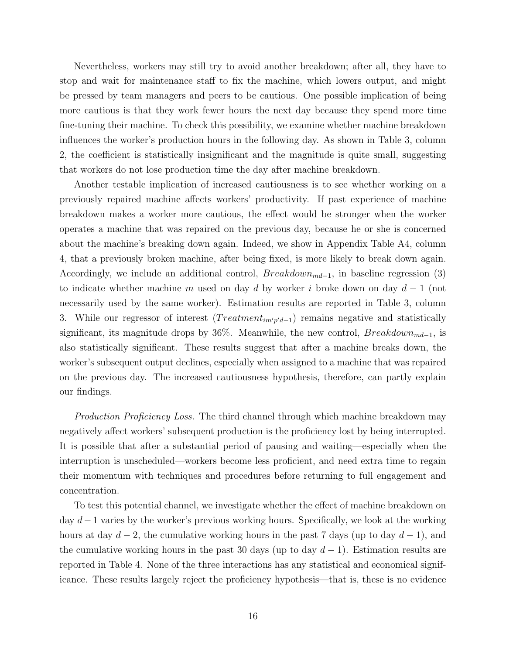Nevertheless, workers may still try to avoid another breakdown; after all, they have to stop and wait for maintenance staff to fix the machine, which lowers output, and might be pressed by team managers and peers to be cautious. One possible implication of being more cautious is that they work fewer hours the next day because they spend more time fine-tuning their machine. To check this possibility, we examine whether machine breakdown influences the worker's production hours in the following day. As shown in Table 3, column 2, the coefficient is statistically insignificant and the magnitude is quite small, suggesting that workers do not lose production time the day after machine breakdown.

Another testable implication of increased cautiousness is to see whether working on a previously repaired machine affects workers' productivity. If past experience of machine breakdown makes a worker more cautious, the effect would be stronger when the worker operates a machine that was repaired on the previous day, because he or she is concerned about the machine's breaking down again. Indeed, we show in Appendix Table A4, column 4, that a previously broken machine, after being fixed, is more likely to break down again. Accordingly, we include an additional control,  $Breakdown_{md-1}$ , in baseline regression (3) to indicate whether machine m used on day d by worker i broke down on day  $d-1$  (not necessarily used by the same worker). Estimation results are reported in Table 3, column 3. While our regressor of interest  $(Treatment_{im'p'd-1})$  remains negative and statistically significant, its magnitude drops by 36%. Meanwhile, the new control,  $Breakdown_{md-1}$ , is also statistically significant. These results suggest that after a machine breaks down, the worker's subsequent output declines, especially when assigned to a machine that was repaired on the previous day. The increased cautiousness hypothesis, therefore, can partly explain our findings.

*Production Proficiency Loss.* The third channel through which machine breakdown may negatively affect workers' subsequent production is the proficiency lost by being interrupted. It is possible that after a substantial period of pausing and waiting—especially when the interruption is unscheduled—workers become less proficient, and need extra time to regain their momentum with techniques and procedures before returning to full engagement and concentration.

To test this potential channel, we investigate whether the effect of machine breakdown on day d−1 varies by the worker's previous working hours. Specifically, we look at the working hours at day  $d-2$ , the cumulative working hours in the past 7 days (up to day  $d-1$ ), and the cumulative working hours in the past 30 days (up to day  $d-1$ ). Estimation results are reported in Table 4. None of the three interactions has any statistical and economical significance. These results largely reject the proficiency hypothesis—that is, these is no evidence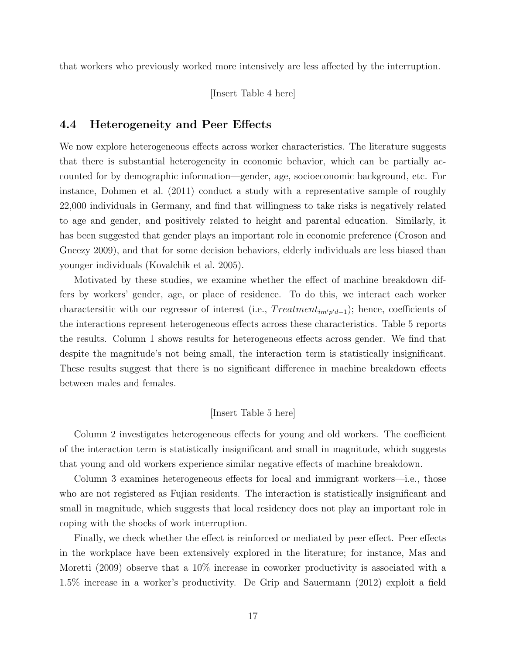that workers who previously worked more intensively are less affected by the interruption.

[Insert Table 4 here]

### 4.4 Heterogeneity and Peer Effects

We now explore heterogeneous effects across worker characteristics. The literature suggests that there is substantial heterogeneity in economic behavior, which can be partially accounted for by demographic information—gender, age, socioeconomic background, etc. For instance, Dohmen et al. (2011) conduct a study with a representative sample of roughly 22,000 individuals in Germany, and find that willingness to take risks is negatively related to age and gender, and positively related to height and parental education. Similarly, it has been suggested that gender plays an important role in economic preference (Croson and Gneezy 2009), and that for some decision behaviors, elderly individuals are less biased than younger individuals (Kovalchik et al. 2005).

Motivated by these studies, we examine whether the effect of machine breakdown differs by workers' gender, age, or place of residence. To do this, we interact each worker charactersitic with our regressor of interest (i.e.,  $Treatment_{im'p'd-1}$ ); hence, coefficients of the interactions represent heterogeneous effects across these characteristics. Table 5 reports the results. Column 1 shows results for heterogeneous effects across gender. We find that despite the magnitude's not being small, the interaction term is statistically insignificant. These results suggest that there is no significant difference in machine breakdown effects between males and females.

#### [Insert Table 5 here]

Column 2 investigates heterogeneous effects for young and old workers. The coefficient of the interaction term is statistically insignificant and small in magnitude, which suggests that young and old workers experience similar negative effects of machine breakdown.

Column 3 examines heterogeneous effects for local and immigrant workers—i.e., those who are not registered as Fujian residents. The interaction is statistically insignificant and small in magnitude, which suggests that local residency does not play an important role in coping with the shocks of work interruption.

Finally, we check whether the effect is reinforced or mediated by peer effect. Peer effects in the workplace have been extensively explored in the literature; for instance, Mas and Moretti (2009) observe that a 10% increase in coworker productivity is associated with a 1.5% increase in a worker's productivity. De Grip and Sauermann (2012) exploit a field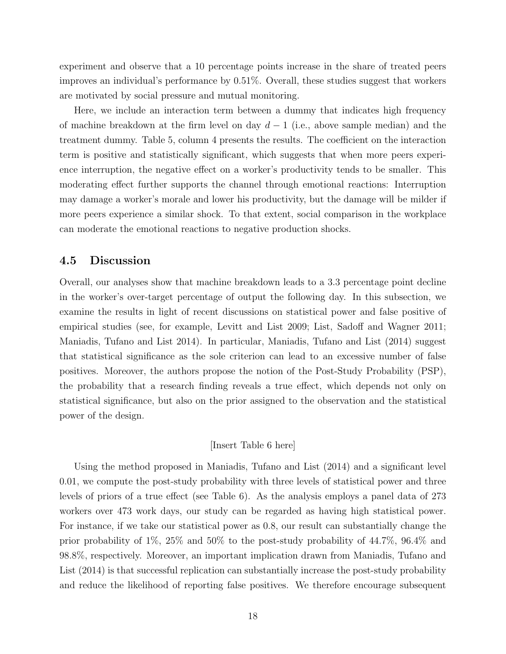experiment and observe that a 10 percentage points increase in the share of treated peers improves an individual's performance by 0.51%. Overall, these studies suggest that workers are motivated by social pressure and mutual monitoring.

Here, we include an interaction term between a dummy that indicates high frequency of machine breakdown at the firm level on day  $d-1$  (i.e., above sample median) and the treatment dummy. Table 5, column 4 presents the results. The coefficient on the interaction term is positive and statistically significant, which suggests that when more peers experience interruption, the negative effect on a worker's productivity tends to be smaller. This moderating effect further supports the channel through emotional reactions: Interruption may damage a worker's morale and lower his productivity, but the damage will be milder if more peers experience a similar shock. To that extent, social comparison in the workplace can moderate the emotional reactions to negative production shocks.

## 4.5 Discussion

Overall, our analyses show that machine breakdown leads to a 3.3 percentage point decline in the worker's over-target percentage of output the following day. In this subsection, we examine the results in light of recent discussions on statistical power and false positive of empirical studies (see, for example, Levitt and List 2009; List, Sadoff and Wagner 2011; Maniadis, Tufano and List 2014). In particular, Maniadis, Tufano and List (2014) suggest that statistical significance as the sole criterion can lead to an excessive number of false positives. Moreover, the authors propose the notion of the Post-Study Probability (PSP), the probability that a research finding reveals a true effect, which depends not only on statistical significance, but also on the prior assigned to the observation and the statistical power of the design.

#### [Insert Table 6 here]

Using the method proposed in Maniadis, Tufano and List (2014) and a significant level 0.01, we compute the post-study probability with three levels of statistical power and three levels of priors of a true effect (see Table 6). As the analysis employs a panel data of 273 workers over 473 work days, our study can be regarded as having high statistical power. For instance, if we take our statistical power as 0.8, our result can substantially change the prior probability of 1%, 25% and 50% to the post-study probability of 44.7%, 96.4% and 98.8%, respectively. Moreover, an important implication drawn from Maniadis, Tufano and List (2014) is that successful replication can substantially increase the post-study probability and reduce the likelihood of reporting false positives. We therefore encourage subsequent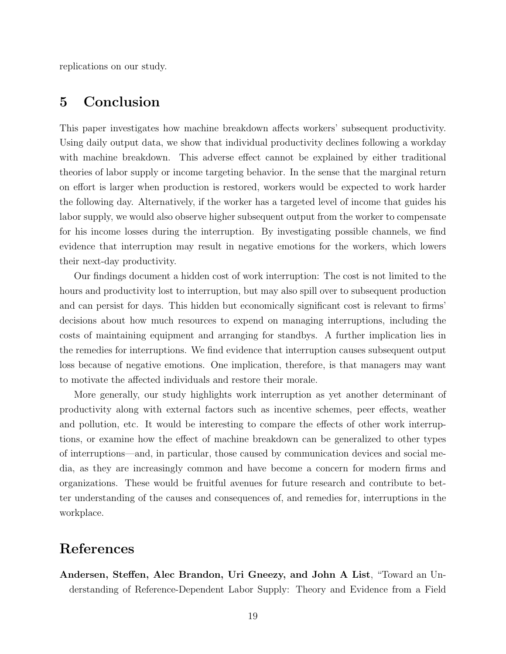replications on our study.

# 5 Conclusion

This paper investigates how machine breakdown affects workers' subsequent productivity. Using daily output data, we show that individual productivity declines following a workday with machine breakdown. This adverse effect cannot be explained by either traditional theories of labor supply or income targeting behavior. In the sense that the marginal return on effort is larger when production is restored, workers would be expected to work harder the following day. Alternatively, if the worker has a targeted level of income that guides his labor supply, we would also observe higher subsequent output from the worker to compensate for his income losses during the interruption. By investigating possible channels, we find evidence that interruption may result in negative emotions for the workers, which lowers their next-day productivity.

Our findings document a hidden cost of work interruption: The cost is not limited to the hours and productivity lost to interruption, but may also spill over to subsequent production and can persist for days. This hidden but economically significant cost is relevant to firms' decisions about how much resources to expend on managing interruptions, including the costs of maintaining equipment and arranging for standbys. A further implication lies in the remedies for interruptions. We find evidence that interruption causes subsequent output loss because of negative emotions. One implication, therefore, is that managers may want to motivate the affected individuals and restore their morale.

More generally, our study highlights work interruption as yet another determinant of productivity along with external factors such as incentive schemes, peer effects, weather and pollution, etc. It would be interesting to compare the effects of other work interruptions, or examine how the effect of machine breakdown can be generalized to other types of interruptions—and, in particular, those caused by communication devices and social media, as they are increasingly common and have become a concern for modern firms and organizations. These would be fruitful avenues for future research and contribute to better understanding of the causes and consequences of, and remedies for, interruptions in the workplace.

## References

Andersen, Steffen, Alec Brandon, Uri Gneezy, and John A List, "Toward an Understanding of Reference-Dependent Labor Supply: Theory and Evidence from a Field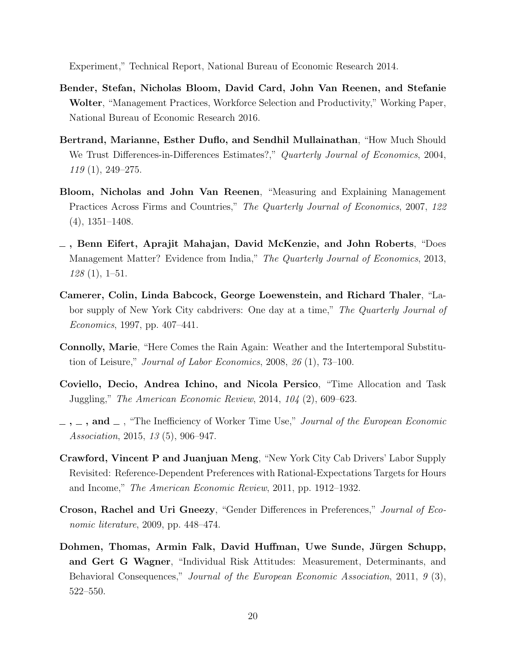Experiment," Technical Report, National Bureau of Economic Research 2014.

- Bender, Stefan, Nicholas Bloom, David Card, John Van Reenen, and Stefanie Wolter, "Management Practices, Workforce Selection and Productivity," Working Paper, National Bureau of Economic Research 2016.
- Bertrand, Marianne, Esther Duflo, and Sendhil Mullainathan, "How Much Should We Trust Differences-in-Differences Estimates?," Quarterly Journal of Economics, 2004, 119 (1), 249–275.
- Bloom, Nicholas and John Van Reenen, "Measuring and Explaining Management Practices Across Firms and Countries," The Quarterly Journal of Economics, 2007, 122 (4), 1351–1408.
- , Benn Eifert, Aprajit Mahajan, David McKenzie, and John Roberts, "Does Management Matter? Evidence from India," The Quarterly Journal of Economics, 2013, 128 (1), 1–51.
- Camerer, Colin, Linda Babcock, George Loewenstein, and Richard Thaler, "Labor supply of New York City cabdrivers: One day at a time," The Quarterly Journal of Economics, 1997, pp. 407–441.
- Connolly, Marie, "Here Comes the Rain Again: Weather and the Intertemporal Substitution of Leisure," Journal of Labor Economics, 2008, 26 (1), 73–100.
- Coviello, Decio, Andrea Ichino, and Nicola Persico, "Time Allocation and Task Juggling," The American Economic Review, 2014, 104 (2), 609–623.
- $, \ldots, \ldots,$  and  $\ldots$ , "The Inefficiency of Worker Time Use," *Journal of the European Economic* Association, 2015, 13 (5), 906–947.
- Crawford, Vincent P and Juanjuan Meng, "New York City Cab Drivers' Labor Supply Revisited: Reference-Dependent Preferences with Rational-Expectations Targets for Hours and Income," The American Economic Review, 2011, pp. 1912–1932.
- Croson, Rachel and Uri Gneezy, "Gender Differences in Preferences," Journal of Economic literature, 2009, pp. 448–474.
- Dohmen, Thomas, Armin Falk, David Huffman, Uwe Sunde, Jürgen Schupp, and Gert G Wagner, "Individual Risk Attitudes: Measurement, Determinants, and Behavioral Consequences," Journal of the European Economic Association, 2011, 9 (3), 522–550.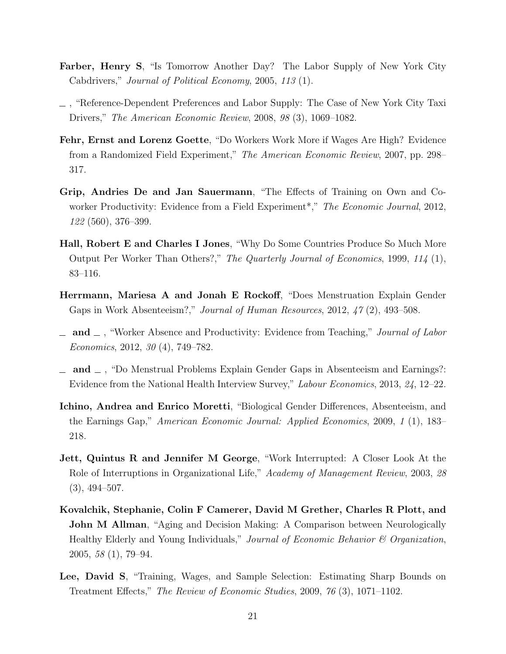- Farber, Henry S, "Is Tomorrow Another Day? The Labor Supply of New York City Cabdrivers," Journal of Political Economy, 2005, 113 (1).
- , "Reference-Dependent Preferences and Labor Supply: The Case of New York City Taxi Drivers," The American Economic Review, 2008, 98 (3), 1069–1082.
- Fehr, Ernst and Lorenz Goette, "Do Workers Work More if Wages Are High? Evidence from a Randomized Field Experiment," The American Economic Review, 2007, pp. 298– 317.
- Grip, Andries De and Jan Sauermann, "The Effects of Training on Own and Coworker Productivity: Evidence from a Field Experiment<sup>\*</sup>," The Economic Journal, 2012, 122 (560), 376–399.
- Hall, Robert E and Charles I Jones, "Why Do Some Countries Produce So Much More Output Per Worker Than Others?," The Quarterly Journal of Economics, 1999, 114 (1), 83–116.
- Herrmann, Mariesa A and Jonah E Rockoff, "Does Menstruation Explain Gender Gaps in Work Absenteeism?," Journal of Human Resources, 2012, 47 (2), 493–508.
- $\Box$  and  $\Box$ , "Worker Absence and Productivity: Evidence from Teaching," *Journal of Labor* Economics, 2012, 30 (4), 749–782.
- $\Box$  and  $\Box$ , "Do Menstrual Problems Explain Gender Gaps in Absenteeism and Earnings?: Evidence from the National Health Interview Survey," Labour Economics, 2013, 24, 12–22.
- Ichino, Andrea and Enrico Moretti, "Biological Gender Differences, Absenteeism, and the Earnings Gap," American Economic Journal: Applied Economics, 2009, 1 (1), 183– 218.
- Jett, Quintus R and Jennifer M George, "Work Interrupted: A Closer Look At the Role of Interruptions in Organizational Life," Academy of Management Review, 2003, 28  $(3), 494-507.$
- Kovalchik, Stephanie, Colin F Camerer, David M Grether, Charles R Plott, and **John M Allman**, "Aging and Decision Making: A Comparison between Neurologically Healthy Elderly and Young Individuals," Journal of Economic Behavior & Organization, 2005, 58 (1), 79–94.
- Lee, David S, "Training, Wages, and Sample Selection: Estimating Sharp Bounds on Treatment Effects," The Review of Economic Studies, 2009, 76 (3), 1071–1102.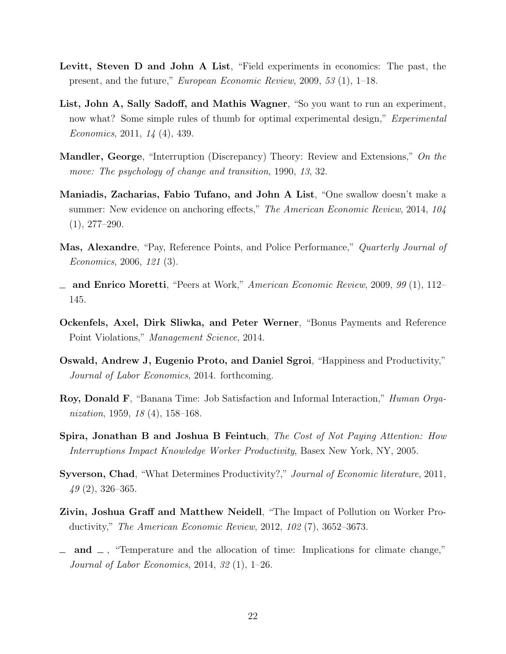- Levitt, Steven D and John A List, "Field experiments in economics: The past, the present, and the future," European Economic Review, 2009, 53 (1), 1–18.
- List, John A, Sally Sadoff, and Mathis Wagner, "So you want to run an experiment, now what? Some simple rules of thumb for optimal experimental design," Experimental Economics, 2011, 14 (4), 439.
- Mandler, George, "Interruption (Discrepancy) Theory: Review and Extensions," On the move: The psychology of change and transition, 1990, 13, 32.
- Maniadis, Zacharias, Fabio Tufano, and John A List, "One swallow doesn't make a summer: New evidence on anchoring effects," The American Economic Review, 2014, 104  $(1), 277-290.$
- Mas, Alexandre, "Pay, Reference Points, and Police Performance," Quarterly Journal of Economics, 2006, 121 (3).
- and Enrico Moretti, "Peers at Work," American Economic Review, 2009, 99 (1), 112– 145.
- Ockenfels, Axel, Dirk Sliwka, and Peter Werner, "Bonus Payments and Reference Point Violations," Management Science, 2014.
- Oswald, Andrew J, Eugenio Proto, and Daniel Sgroi, "Happiness and Productivity," Journal of Labor Economics, 2014. forthcoming.
- Roy, Donald F, "Banana Time: Job Satisfaction and Informal Interaction," Human Organization, 1959, 18 (4), 158–168.
- Spira, Jonathan B and Joshua B Feintuch, The Cost of Not Paying Attention: How Interruptions Impact Knowledge Worker Productivity, Basex New York, NY, 2005.
- Syverson, Chad, "What Determines Productivity?," Journal of Economic literature, 2011,  $49(2)$ , 326–365.
- Zivin, Joshua Graff and Matthew Neidell, "The Impact of Pollution on Worker Productivity," The American Economic Review, 2012, 102 (7), 3652–3673.
- $\Box$  and  $\Box$ , "Temperature and the allocation of time: Implications for climate change," Journal of Labor Economics, 2014, 32 (1), 1–26.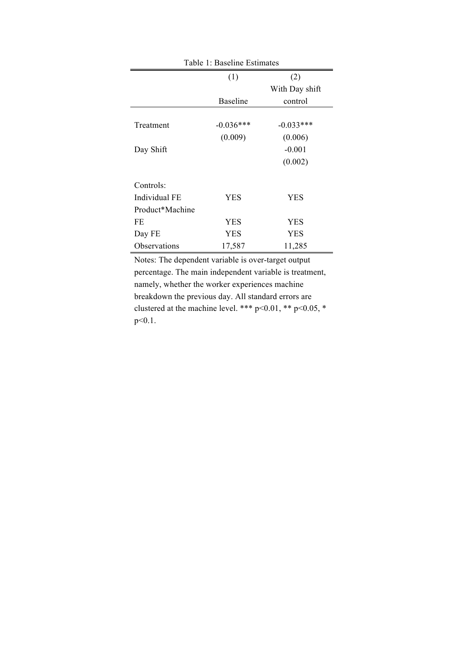| Table 1: Baseline Estimates |                 |                |  |  |
|-----------------------------|-----------------|----------------|--|--|
|                             | (1)             | (2)            |  |  |
|                             |                 | With Day shift |  |  |
|                             | <b>Baseline</b> | control        |  |  |
|                             |                 |                |  |  |
| Treatment                   | $-0.036***$     | $-0.033***$    |  |  |
|                             | (0.009)         | (0.006)        |  |  |
| Day Shift                   |                 | $-0.001$       |  |  |
|                             |                 | (0.002)        |  |  |
|                             |                 |                |  |  |
| Controls:                   |                 |                |  |  |
| Individual FE               | <b>YES</b>      | <b>YES</b>     |  |  |
| Product*Machine             |                 |                |  |  |
| FE                          | YES             | <b>YES</b>     |  |  |
| Day FE                      | YES             | <b>YES</b>     |  |  |
| Observations                | 17,587          | 11,285         |  |  |

Notes: The dependent variable is over-target output percentage. The main independent variable is treatment, namely, whether the worker experiences machine breakdown the previous day. All standard errors are clustered at the machine level. \*\*\* p<0.01, \*\* p<0.05, \* p<0.1.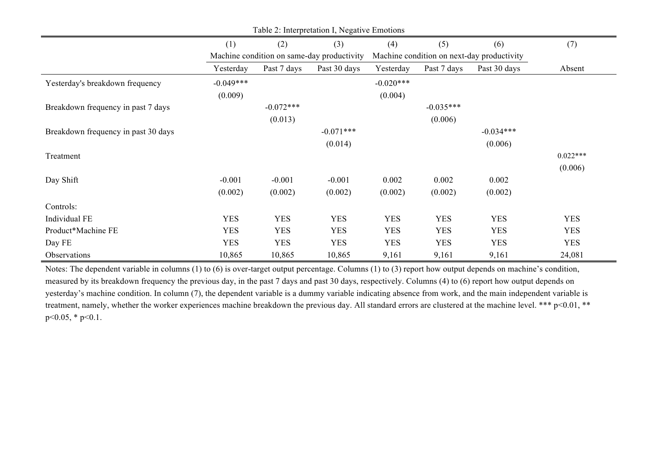| Table 2: Interpretation I, Negative Emotions |             |             |                                            |             |             |                                            |            |
|----------------------------------------------|-------------|-------------|--------------------------------------------|-------------|-------------|--------------------------------------------|------------|
|                                              | (1)         | (2)         | (3)                                        | (4)         | (5)         | (6)                                        | (7)        |
|                                              |             |             | Machine condition on same-day productivity |             |             | Machine condition on next-day productivity |            |
|                                              | Yesterday   | Past 7 days | Past 30 days                               | Yesterday   | Past 7 days | Past 30 days                               | Absent     |
| Yesterday's breakdown frequency              | $-0.049***$ |             |                                            | $-0.020***$ |             |                                            |            |
|                                              | (0.009)     |             |                                            | (0.004)     |             |                                            |            |
| Breakdown frequency in past 7 days           |             | $-0.072***$ |                                            |             | $-0.035***$ |                                            |            |
|                                              |             | (0.013)     |                                            |             | (0.006)     |                                            |            |
| Breakdown frequency in past 30 days          |             |             | $-0.071***$                                |             |             | $-0.034***$                                |            |
|                                              |             |             | (0.014)                                    |             |             | (0.006)                                    |            |
| Treatment                                    |             |             |                                            |             |             |                                            | $0.022***$ |
|                                              |             |             |                                            |             |             |                                            | (0.006)    |
| Day Shift                                    | $-0.001$    | $-0.001$    | $-0.001$                                   | 0.002       | 0.002       | 0.002                                      |            |
|                                              | (0.002)     | (0.002)     | (0.002)                                    | (0.002)     | (0.002)     | (0.002)                                    |            |
| Controls:                                    |             |             |                                            |             |             |                                            |            |
| Individual FE                                | <b>YES</b>  | <b>YES</b>  | <b>YES</b>                                 | <b>YES</b>  | <b>YES</b>  | <b>YES</b>                                 | <b>YES</b> |
| Product*Machine FE                           | <b>YES</b>  | <b>YES</b>  | <b>YES</b>                                 | <b>YES</b>  | <b>YES</b>  | <b>YES</b>                                 | <b>YES</b> |
| Day FE                                       | <b>YES</b>  | <b>YES</b>  | <b>YES</b>                                 | <b>YES</b>  | <b>YES</b>  | <b>YES</b>                                 | <b>YES</b> |
| Observations                                 | 10,865      | 10,865      | 10,865                                     | 9,161       | 9,161       | 9,161                                      | 24,081     |

Notes: The dependent variable in columns (1) to (6) is over-target output percentage. Columns (1) to (3) report how output depends on machine's condition, measured by its breakdown frequency the previous day, in the past 7 days and past 30 days, respectively. Columns (4) to (6) report how output depends on yesterday's machine condition. In column (7), the dependent variable is a dummy variable indicating absence from work, and the main independent variable is treatment, namely, whether the worker experiences machine breakdown the previous day. All standard errors are clustered at the machine level. \*\*\* p<0.01, \*\*  $p<0.05$ , \*  $p<0.1$ .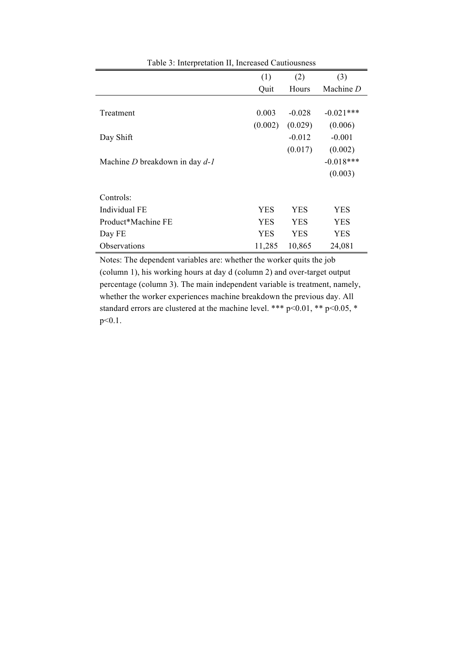|                                    | (1)        | (2)        | (3)         |
|------------------------------------|------------|------------|-------------|
|                                    | Quit       | Hours      | Machine $D$ |
|                                    |            |            |             |
| Treatment                          | 0.003      | $-0.028$   | $-0.021***$ |
|                                    | (0.002)    | (0.029)    | (0.006)     |
| Day Shift                          |            | $-0.012$   | $-0.001$    |
|                                    |            | (0.017)    | (0.002)     |
| Machine $D$ breakdown in day $d-1$ |            |            | $-0.018***$ |
|                                    |            |            | (0.003)     |
|                                    |            |            |             |
| Controls:                          |            |            |             |
| Individual FE                      | <b>YES</b> | <b>YES</b> | YES         |
| Product*Machine FE                 | <b>YES</b> | YES        | YES         |
| Day FE                             | <b>YES</b> | <b>YES</b> | YES         |
| Observations                       | 11,285     | 10,865     | 24,081      |

Table 3: Interpretation II, Increased Cautiousness

Notes: The dependent variables are: whether the worker quits the job (column 1), his working hours at day d (column 2) and over-target output percentage (column 3). The main independent variable is treatment, namely, whether the worker experiences machine breakdown the previous day. All standard errors are clustered at the machine level. \*\*\* p<0.01, \*\* p<0.05, \* p<0.1.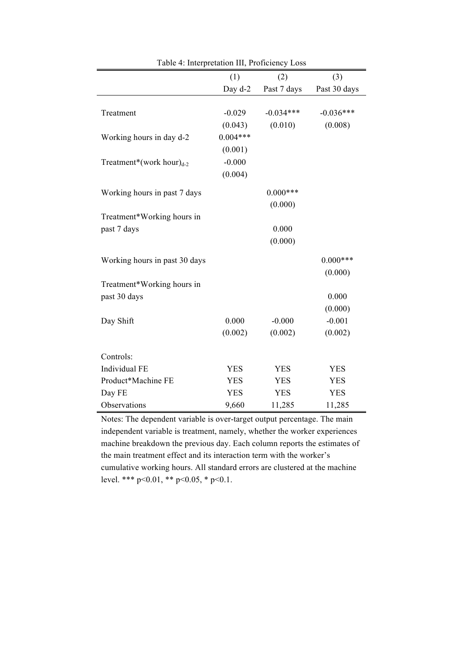|                                | (1)        | (2)         | (3)          |
|--------------------------------|------------|-------------|--------------|
|                                | Day d-2    | Past 7 days | Past 30 days |
|                                |            |             |              |
| Treatment                      | $-0.029$   | $-0.034***$ | $-0.036***$  |
|                                | (0.043)    | (0.010)     | (0.008)      |
| Working hours in day d-2       | $0.004***$ |             |              |
|                                | (0.001)    |             |              |
| Treatment*(work hour) $_{d-2}$ | $-0.000$   |             |              |
|                                | (0.004)    |             |              |
| Working hours in past 7 days   |            | $0.000***$  |              |
|                                |            | (0.000)     |              |
| Treatment*Working hours in     |            |             |              |
| past 7 days                    |            | 0.000       |              |
|                                |            | (0.000)     |              |
| Working hours in past 30 days  |            |             | $0.000***$   |
|                                |            |             | (0.000)      |
| Treatment*Working hours in     |            |             |              |
| past 30 days                   |            |             | 0.000        |
|                                |            |             | (0.000)      |
| Day Shift                      | 0.000      | $-0.000$    | $-0.001$     |
|                                | (0.002)    | (0.002)     | (0.002)      |
| Controls:                      |            |             |              |
| Individual FE                  | <b>YES</b> | <b>YES</b>  | <b>YES</b>   |
| Product*Machine FE             | <b>YES</b> | <b>YES</b>  | <b>YES</b>   |
|                                | <b>YES</b> | <b>YES</b>  | <b>YES</b>   |
| Day FE                         |            |             |              |
| Observations                   | 9,660      | 11,285      | 11,285       |

Table 4: Interpretation III, Proficiency Loss

Notes: The dependent variable is over-target output percentage. The main independent variable is treatment, namely, whether the worker experiences machine breakdown the previous day. Each column reports the estimates of the main treatment effect and its interaction term with the worker's cumulative working hours. All standard errors are clustered at the machine level. \*\*\* p<0.01, \*\* p<0.05, \* p<0.1.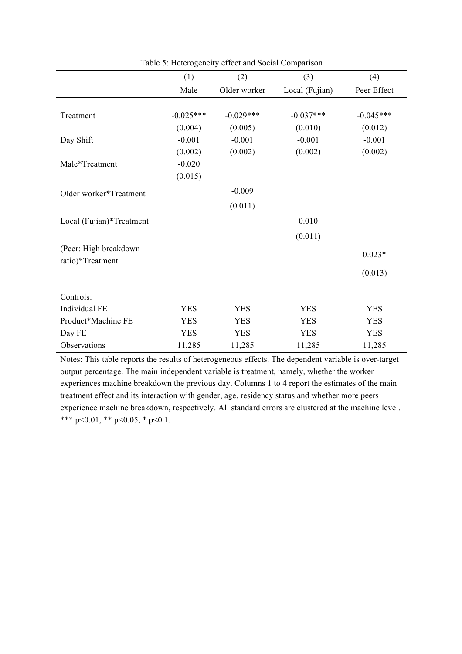|                          | (1)         | (2)          | (3)            | (4)         |
|--------------------------|-------------|--------------|----------------|-------------|
|                          | Male        | Older worker | Local (Fujian) | Peer Effect |
|                          |             |              |                |             |
| Treatment                | $-0.025***$ | $-0.029***$  | $-0.037***$    | $-0.045***$ |
|                          | (0.004)     | (0.005)      | (0.010)        | (0.012)     |
| Day Shift                | $-0.001$    | $-0.001$     | $-0.001$       | $-0.001$    |
|                          | (0.002)     | (0.002)      | (0.002)        | (0.002)     |
| Male*Treatment           | $-0.020$    |              |                |             |
|                          | (0.015)     |              |                |             |
| Older worker*Treatment   |             | $-0.009$     |                |             |
|                          |             | (0.011)      |                |             |
| Local (Fujian)*Treatment |             |              | 0.010          |             |
|                          |             |              | (0.011)        |             |
| (Peer: High breakdown    |             |              |                | $0.023*$    |
| ratio)*Treatment         |             |              |                |             |
|                          |             |              |                | (0.013)     |
| Controls:                |             |              |                |             |
| Individual FE            | <b>YES</b>  | <b>YES</b>   | <b>YES</b>     | <b>YES</b>  |
| Product*Machine FE       | <b>YES</b>  | <b>YES</b>   | <b>YES</b>     | <b>YES</b>  |
| Day FE                   | <b>YES</b>  | <b>YES</b>   | <b>YES</b>     | <b>YES</b>  |
| Observations             | 11,285      | 11,285       | 11,285         | 11,285      |

Table 5: Heterogeneity effect and Social Comparison

Notes: This table reports the results of heterogeneous effects. The dependent variable is over-target output percentage. The main independent variable is treatment, namely, whether the worker experiences machine breakdown the previous day. Columns 1 to 4 report the estimates of the main treatment effect and its interaction with gender, age, residency status and whether more peers experience machine breakdown, respectively. All standard errors are clustered at the machine level. \*\*\* p<0.01, \*\* p<0.05, \* p<0.1.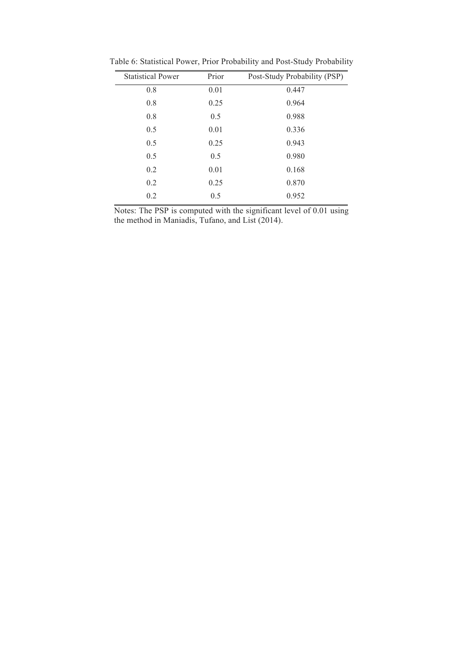| <b>Statistical Power</b> | Prior | Post-Study Probability (PSP) |
|--------------------------|-------|------------------------------|
| 0.8                      | 0.01  | 0.447                        |
| 0.8                      | 0.25  | 0.964                        |
| 0.8                      | 0.5   | 0.988                        |
| 0.5                      | 0.01  | 0.336                        |
| 0.5                      | 0.25  | 0.943                        |
| 0.5                      | 0.5   | 0.980                        |
| 0.2                      | 0.01  | 0.168                        |
| 0.2                      | 0.25  | 0.870                        |
| 0.2                      | 0.5   | 0.952                        |

Table 6: Statistical Power, Prior Probability and Post-Study Probability

Notes: The PSP is computed with the significant level of 0.01 using the method in Maniadis, Tufano, and List (2014).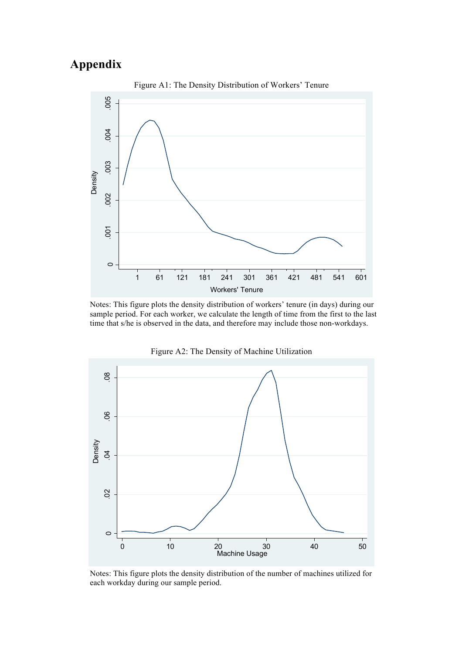# **Appendix**



Notes: This figure plots the density distribution of workers' tenure (in days) during our sample period. For each worker, we calculate the length of time from the first to the last time that s/he is observed in the data, and therefore may include those non-workdays.



Figure A2: The Density of Machine Utilization

Notes: This figure plots the density distribution of the number of machines utilized for each workday during our sample period.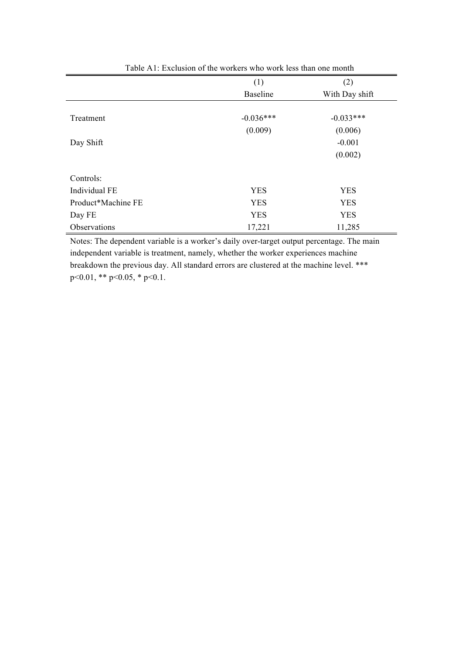|                    | (1)             | (2)            |
|--------------------|-----------------|----------------|
|                    | <b>Baseline</b> | With Day shift |
|                    |                 |                |
| Treatment          | $-0.036***$     | $-0.033***$    |
|                    | (0.009)         | (0.006)        |
| Day Shift          |                 | $-0.001$       |
|                    |                 | (0.002)        |
|                    |                 |                |
| Controls:          |                 |                |
| Individual FE      | <b>YES</b>      | <b>YES</b>     |
| Product*Machine FE | <b>YES</b>      | <b>YES</b>     |
| Day FE             | <b>YES</b>      | <b>YES</b>     |
| Observations       | 17,221          | 11,285         |
|                    |                 |                |

Table A1: Exclusion of the workers who work less than one month

Notes: The dependent variable is a worker's daily over-target output percentage. The main independent variable is treatment, namely, whether the worker experiences machine breakdown the previous day. All standard errors are clustered at the machine level. \*\*\*  $p<0.01$ , \*\*  $p<0.05$ , \*  $p<0.1$ .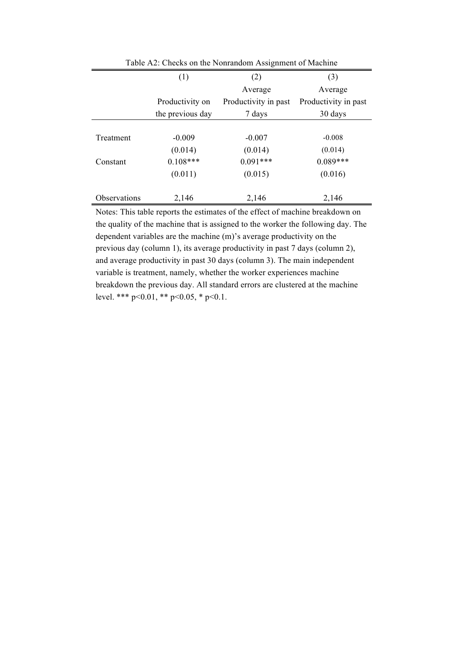|              | (1)              | (2)                  | (3)                  |
|--------------|------------------|----------------------|----------------------|
|              |                  | Average              | Average              |
|              | Productivity on  | Productivity in past | Productivity in past |
|              | the previous day | 7 days               | 30 days              |
|              |                  |                      |                      |
| Treatment    | $-0.009$         | $-0.007$             | $-0.008$             |
|              | (0.014)          | (0.014)              | (0.014)              |
| Constant     | $0.108***$       | $0.091***$           | $0.089***$           |
|              | (0.011)          | (0.015)              | (0.016)              |
| Observations | 2,146            | 2,146                | 2,146                |

Table A2: Checks on the Nonrandom Assignment of Machine

Notes: This table reports the estimates of the effect of machine breakdown on the quality of the machine that is assigned to the worker the following day. The dependent variables are the machine (m)'s average productivity on the previous day (column 1), its average productivity in past 7 days (column 2), and average productivity in past 30 days (column 3). The main independent variable is treatment, namely, whether the worker experiences machine breakdown the previous day. All standard errors are clustered at the machine level. \*\*\* p<0.01, \*\* p<0.05, \* p<0.1.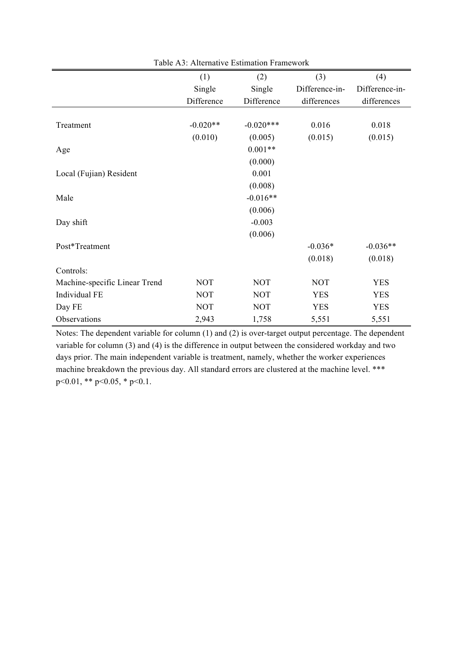|                               | (1)        | (2)         | (3)            | (4)            |
|-------------------------------|------------|-------------|----------------|----------------|
|                               | Single     | Single      | Difference-in- | Difference-in- |
|                               | Difference | Difference  | differences    | differences    |
|                               |            |             |                |                |
| Treatment                     | $-0.020**$ | $-0.020***$ | 0.016          | 0.018          |
|                               | (0.010)    | (0.005)     | (0.015)        | (0.015)        |
| Age                           |            | $0.001**$   |                |                |
|                               |            | (0.000)     |                |                |
| Local (Fujian) Resident       |            | 0.001       |                |                |
|                               |            | (0.008)     |                |                |
| Male                          |            | $-0.016**$  |                |                |
|                               |            | (0.006)     |                |                |
| Day shift                     |            | $-0.003$    |                |                |
|                               |            | (0.006)     |                |                |
| Post*Treatment                |            |             | $-0.036*$      | $-0.036**$     |
|                               |            |             | (0.018)        | (0.018)        |
| Controls:                     |            |             |                |                |
| Machine-specific Linear Trend | <b>NOT</b> | <b>NOT</b>  | <b>NOT</b>     | <b>YES</b>     |
| Individual FE                 | <b>NOT</b> | <b>NOT</b>  | <b>YES</b>     | <b>YES</b>     |
| Day FE                        | <b>NOT</b> | <b>NOT</b>  | <b>YES</b>     | <b>YES</b>     |
| Observations                  | 2,943      | 1,758       | 5,551          | 5,551          |

Table A3: Alternative Estimation Framework

Notes: The dependent variable for column (1) and (2) is over-target output percentage. The dependent variable for column (3) and (4) is the difference in output between the considered workday and two days prior. The main independent variable is treatment, namely, whether the worker experiences machine breakdown the previous day. All standard errors are clustered at the machine level. \*\*\*  $p<0.01$ , \*\*  $p<0.05$ , \*  $p<0.1$ .